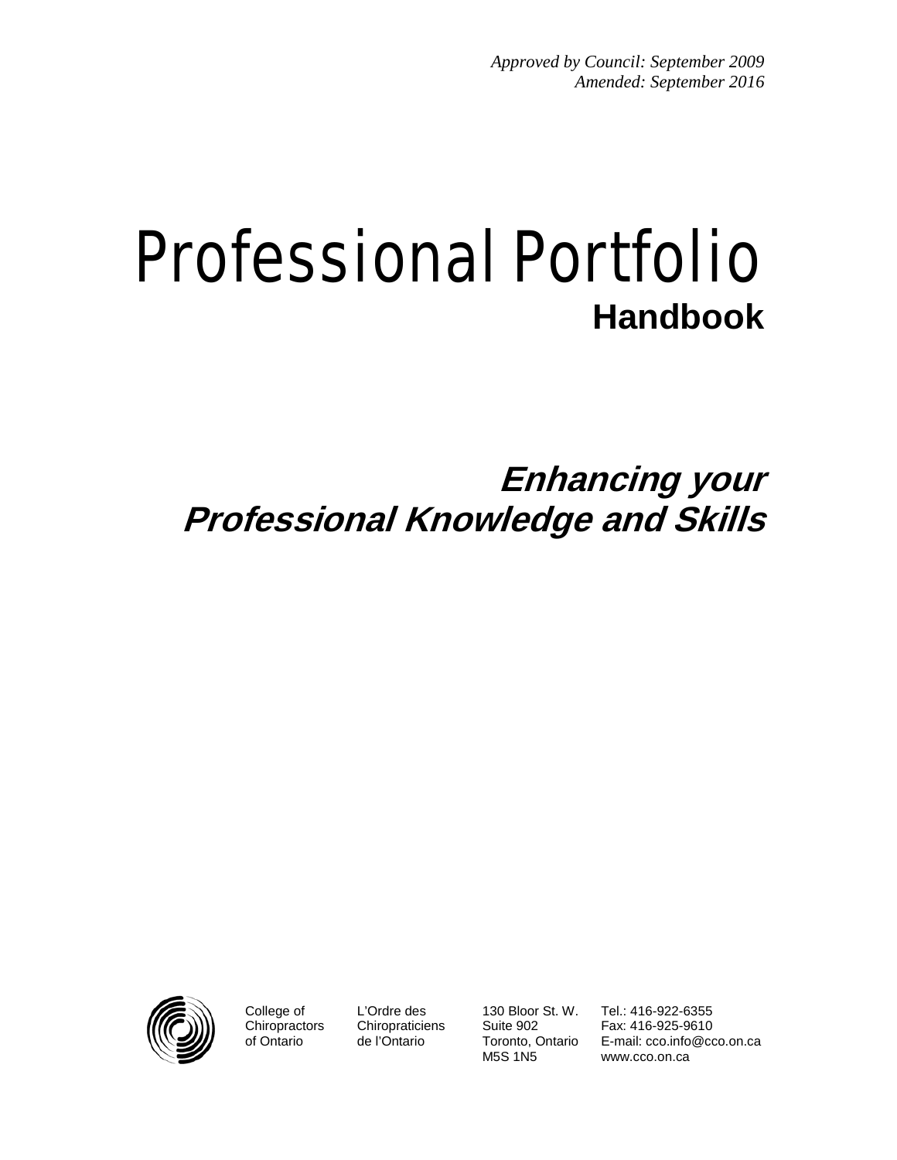# Professional Portfolio **Handbook**

# **Enhancing your Professional Knowledge and Skills**



College of **Chiropractors** of Ontario

L'Ordre des **Chiropraticiens** de l'Ontario

130 Bloor St. W. Suite 902 Toronto, Ontario M5S 1N5

Tel.: 416-922-6355 Fax: 416-925-9610 E-mail: cco.info@cco.on.ca www.cco.on.ca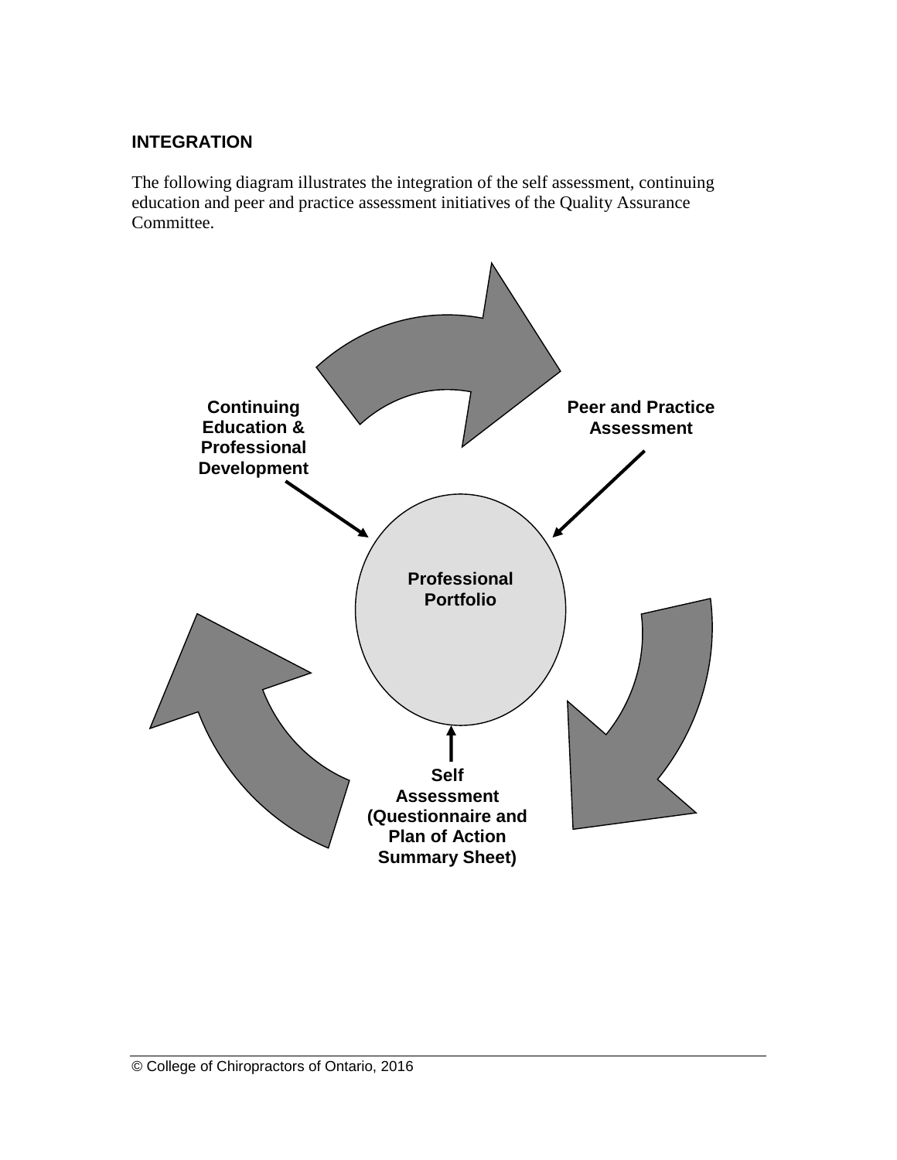# **INTEGRATION**

The following diagram illustrates the integration of the self assessment, continuing education and peer and practice assessment initiatives of the Quality Assurance Committee.

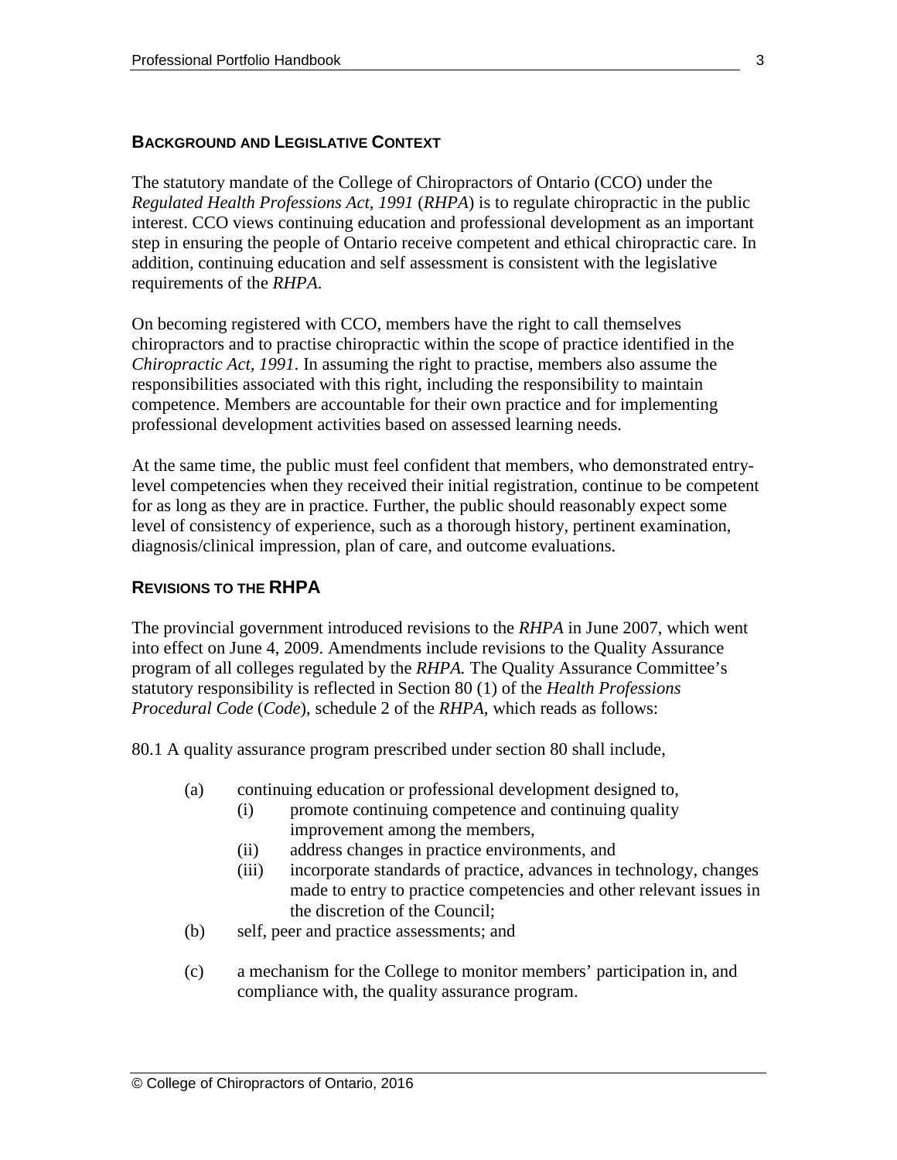#### **BACKGROUND AND LEGISLATIVE CONTEXT**

The statutory mandate of the College of Chiropractors of Ontario (CCO) under the *Regulated Health Professions Act, 1991* (*RHPA*) is to regulate chiropractic in the public interest. CCO views continuing education and professional development as an important step in ensuring the people of Ontario receive competent and ethical chiropractic care. In addition, continuing education and self assessment is consistent with the legislative requirements of the *RHPA*.

On becoming registered with CCO, members have the right to call themselves chiropractors and to practise chiropractic within the scope of practice identified in the *Chiropractic Act, 1991*. In assuming the right to practise, members also assume the responsibilities associated with this right, including the responsibility to maintain competence. Members are accountable for their own practice and for implementing professional development activities based on assessed learning needs.

At the same time, the public must feel confident that members, who demonstrated entrylevel competencies when they received their initial registration, continue to be competent for as long as they are in practice. Further, the public should reasonably expect some level of consistency of experience, such as a thorough history, pertinent examination, diagnosis/clinical impression, plan of care, and outcome evaluations.

#### **REVISIONS TO THE RHPA**

The provincial government introduced revisions to the *RHPA* in June 2007, which went into effect on June 4, 2009. Amendments include revisions to the Quality Assurance program of all colleges regulated by the *RHPA.* The Quality Assurance Committee's statutory responsibility is reflected in Section 80 (1) of the *Health Professions Procedural Code* (*Code*), schedule 2 of the *RHPA,* which reads as follows:

80.1 A quality assurance program prescribed under section 80 shall include,

- (a) continuing education or professional development designed to,
	- (i) promote continuing competence and continuing quality improvement among the members,
	- (ii) address changes in practice environments, and
	- (iii) incorporate standards of practice, advances in technology, changes made to entry to practice competencies and other relevant issues in the discretion of the Council;
- (b) self, peer and practice assessments; and
- (c) a mechanism for the College to monitor members' participation in, and compliance with, the quality assurance program.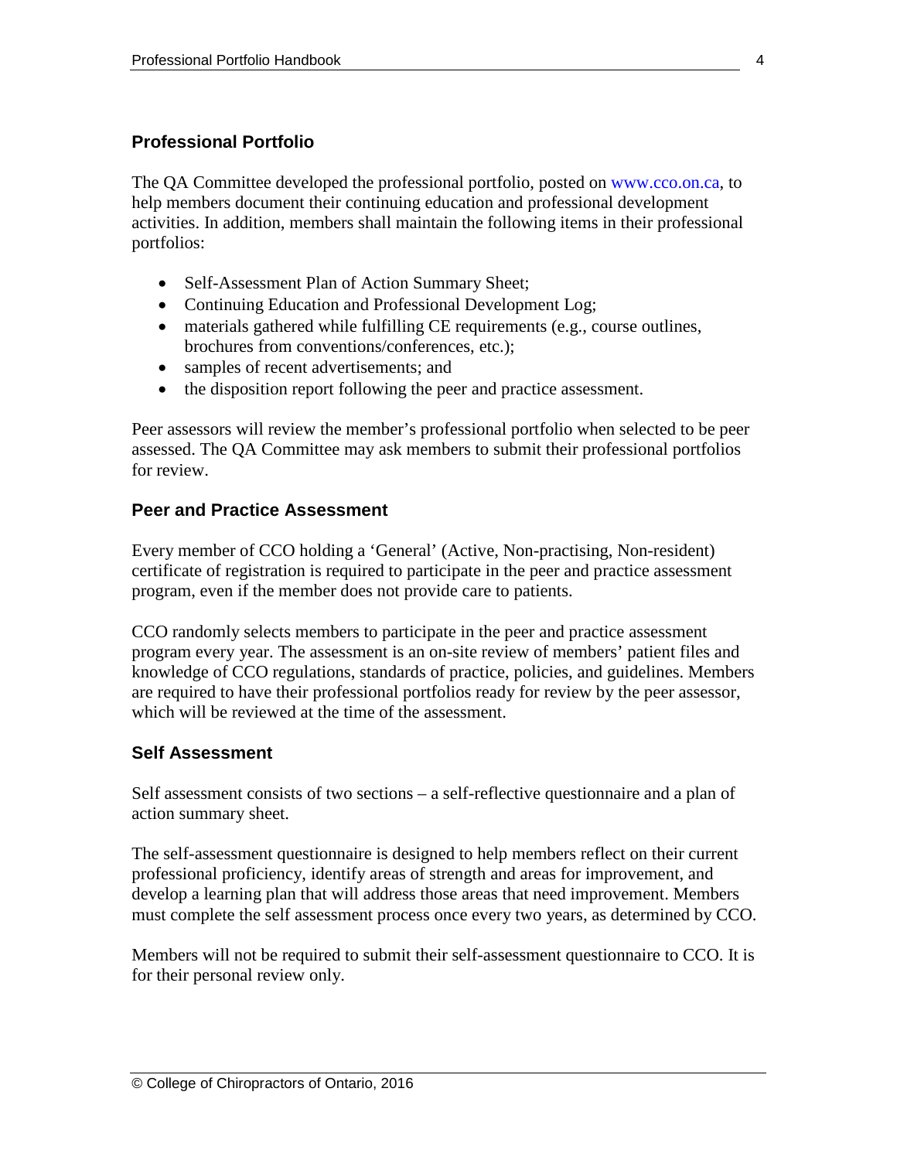# **Professional Portfolio**

The QA Committee developed the professional portfolio, posted on www.cco.on.ca, to help members document their continuing education and professional development activities. In addition, members shall maintain the following items in their professional portfolios:

- Self-Assessment Plan of Action Summary Sheet;
- Continuing Education and Professional Development Log;
- materials gathered while fulfilling CE requirements (e.g., course outlines, brochures from conventions/conferences, etc.);
- samples of recent advertisements; and
- the disposition report following the peer and practice assessment.

Peer assessors will review the member's professional portfolio when selected to be peer assessed. The QA Committee may ask members to submit their professional portfolios for review.

# **Peer and Practice Assessment**

Every member of CCO holding a 'General' (Active, Non-practising, Non-resident) certificate of registration is required to participate in the peer and practice assessment program, even if the member does not provide care to patients.

CCO randomly selects members to participate in the peer and practice assessment program every year. The assessment is an on-site review of members' patient files and knowledge of CCO regulations, standards of practice, policies, and guidelines. Members are required to have their professional portfolios ready for review by the peer assessor, which will be reviewed at the time of the assessment.

# **Self Assessment**

Self assessment consists of two sections – a self-reflective questionnaire and a plan of action summary sheet.

The self-assessment questionnaire is designed to help members reflect on their current professional proficiency, identify areas of strength and areas for improvement, and develop a learning plan that will address those areas that need improvement. Members must complete the self assessment process once every two years, as determined by CCO.

Members will not be required to submit their self-assessment questionnaire to CCO. It is for their personal review only.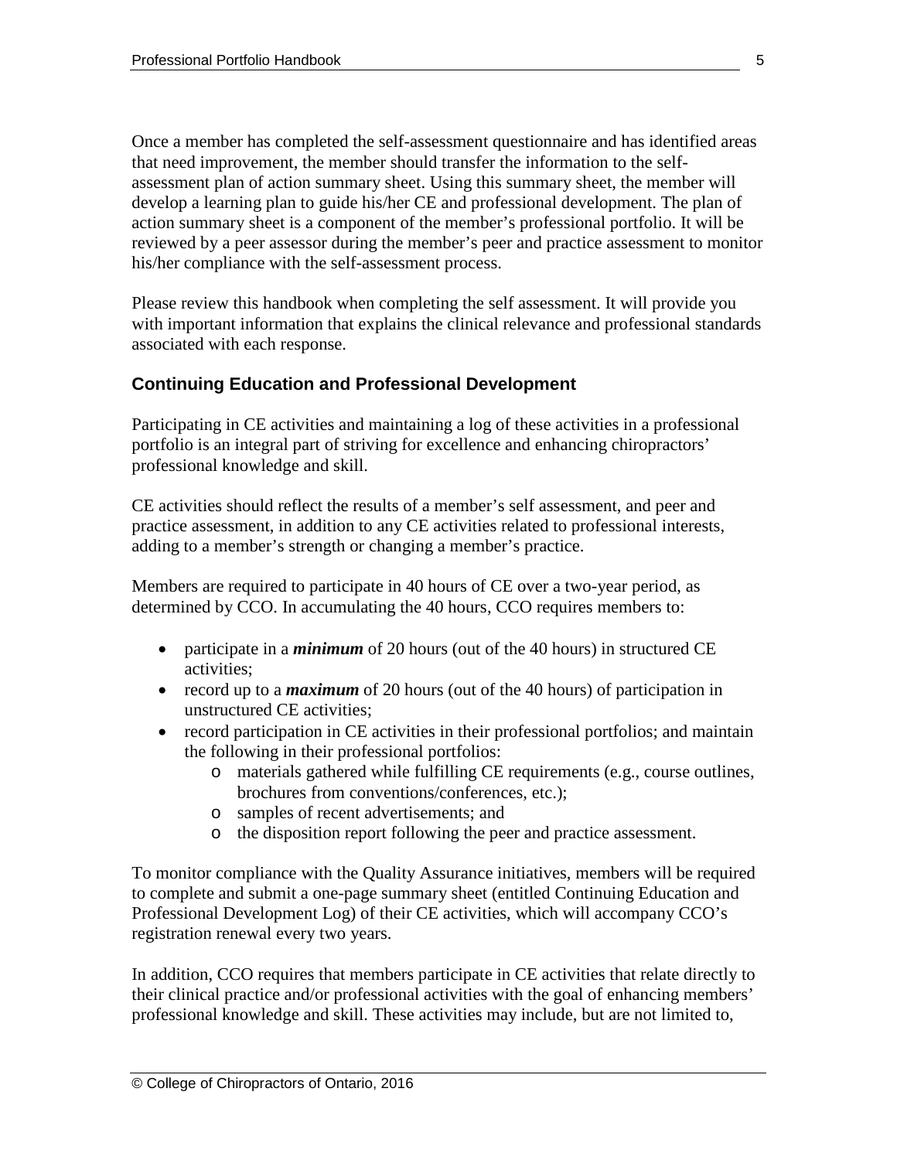Once a member has completed the self-assessment questionnaire and has identified areas that need improvement, the member should transfer the information to the selfassessment plan of action summary sheet. Using this summary sheet, the member will develop a learning plan to guide his/her CE and professional development. The plan of action summary sheet is a component of the member's professional portfolio. It will be reviewed by a peer assessor during the member's peer and practice assessment to monitor his/her compliance with the self-assessment process.

Please review this handbook when completing the self assessment. It will provide you with important information that explains the clinical relevance and professional standards associated with each response.

# **Continuing Education and Professional Development**

Participating in CE activities and maintaining a log of these activities in a professional portfolio is an integral part of striving for excellence and enhancing chiropractors' professional knowledge and skill.

CE activities should reflect the results of a member's self assessment, and peer and practice assessment, in addition to any CE activities related to professional interests, adding to a member's strength or changing a member's practice.

Members are required to participate in 40 hours of CE over a two-year period, as determined by CCO. In accumulating the 40 hours, CCO requires members to:

- participate in a *minimum* of 20 hours (out of the 40 hours) in structured CE activities;
- record up to a *maximum* of 20 hours (out of the 40 hours) of participation in unstructured CE activities;
- record participation in CE activities in their professional portfolios; and maintain the following in their professional portfolios:
	- o materials gathered while fulfilling CE requirements (e.g., course outlines, brochures from conventions/conferences, etc.);
	- o samples of recent advertisements; and
	- o the disposition report following the peer and practice assessment.

To monitor compliance with the Quality Assurance initiatives, members will be required to complete and submit a one-page summary sheet (entitled Continuing Education and Professional Development Log) of their CE activities, which will accompany CCO's registration renewal every two years.

In addition, CCO requires that members participate in CE activities that relate directly to their clinical practice and/or professional activities with the goal of enhancing members' professional knowledge and skill. These activities may include, but are not limited to,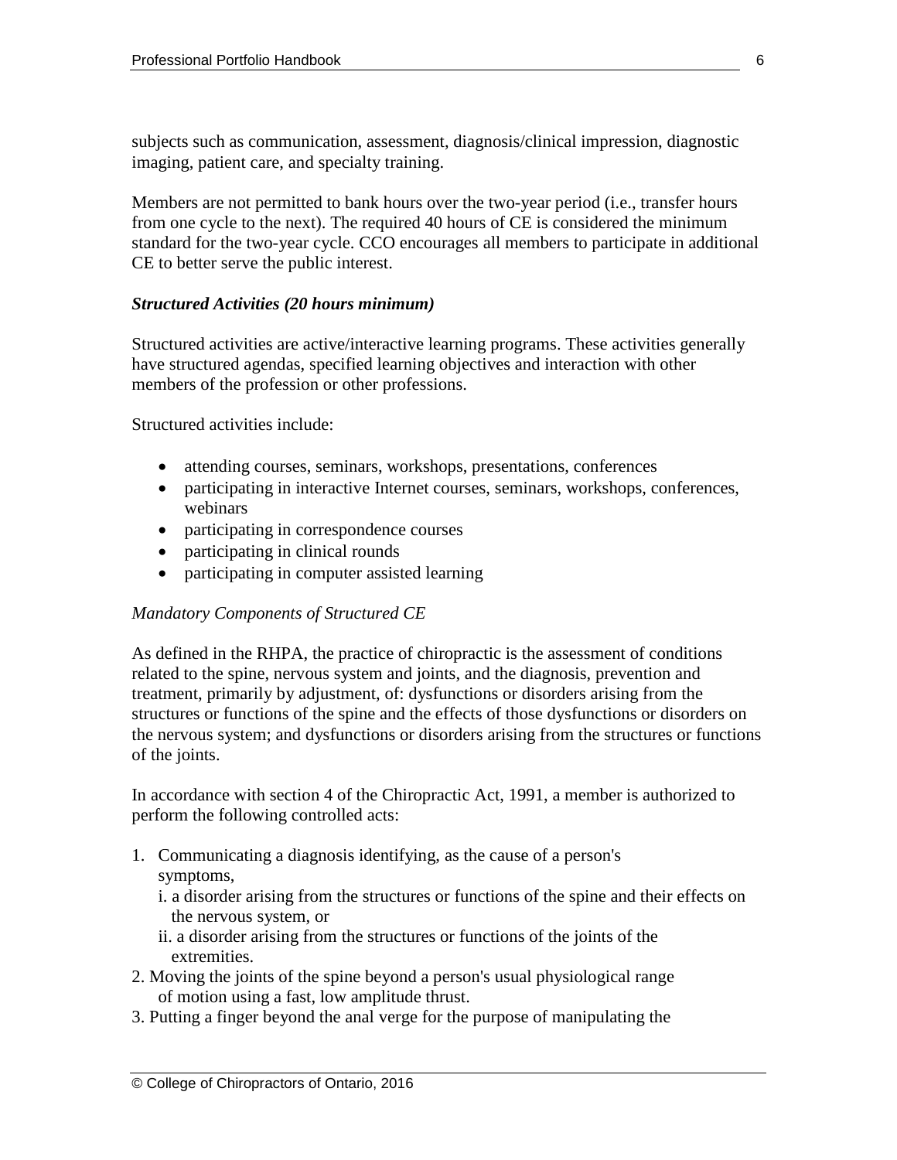subjects such as communication, assessment, diagnosis/clinical impression, diagnostic imaging, patient care, and specialty training.

Members are not permitted to bank hours over the two-year period (i.e., transfer hours from one cycle to the next). The required 40 hours of CE is considered the minimum standard for the two-year cycle. CCO encourages all members to participate in additional CE to better serve the public interest.

#### *Structured Activities (20 hours minimum)*

Structured activities are active/interactive learning programs. These activities generally have structured agendas, specified learning objectives and interaction with other members of the profession or other professions.

Structured activities include:

- attending courses, seminars, workshops, presentations, conferences
- participating in interactive Internet courses, seminars, workshops, conferences, webinars
- participating in correspondence courses
- participating in clinical rounds
- participating in computer assisted learning

#### *Mandatory Components of Structured CE*

As defined in the RHPA, the practice of chiropractic is the assessment of conditions related to the spine, nervous system and joints, and the diagnosis, prevention and treatment, primarily by adjustment, of: dysfunctions or disorders arising from the structures or functions of the spine and the effects of those dysfunctions or disorders on the nervous system; and dysfunctions or disorders arising from the structures or functions of the joints.

In accordance with section 4 of the Chiropractic Act, 1991, a member is authorized to perform the following controlled acts:

- 1. Communicating a diagnosis identifying, as the cause of a person's symptoms,
	- i. a disorder arising from the structures or functions of the spine and their effects on the nervous system, or
	- ii. a disorder arising from the structures or functions of the joints of the extremities.
- 2. Moving the joints of the spine beyond a person's usual physiological range of motion using a fast, low amplitude thrust.
- 3. Putting a finger beyond the anal verge for the purpose of manipulating the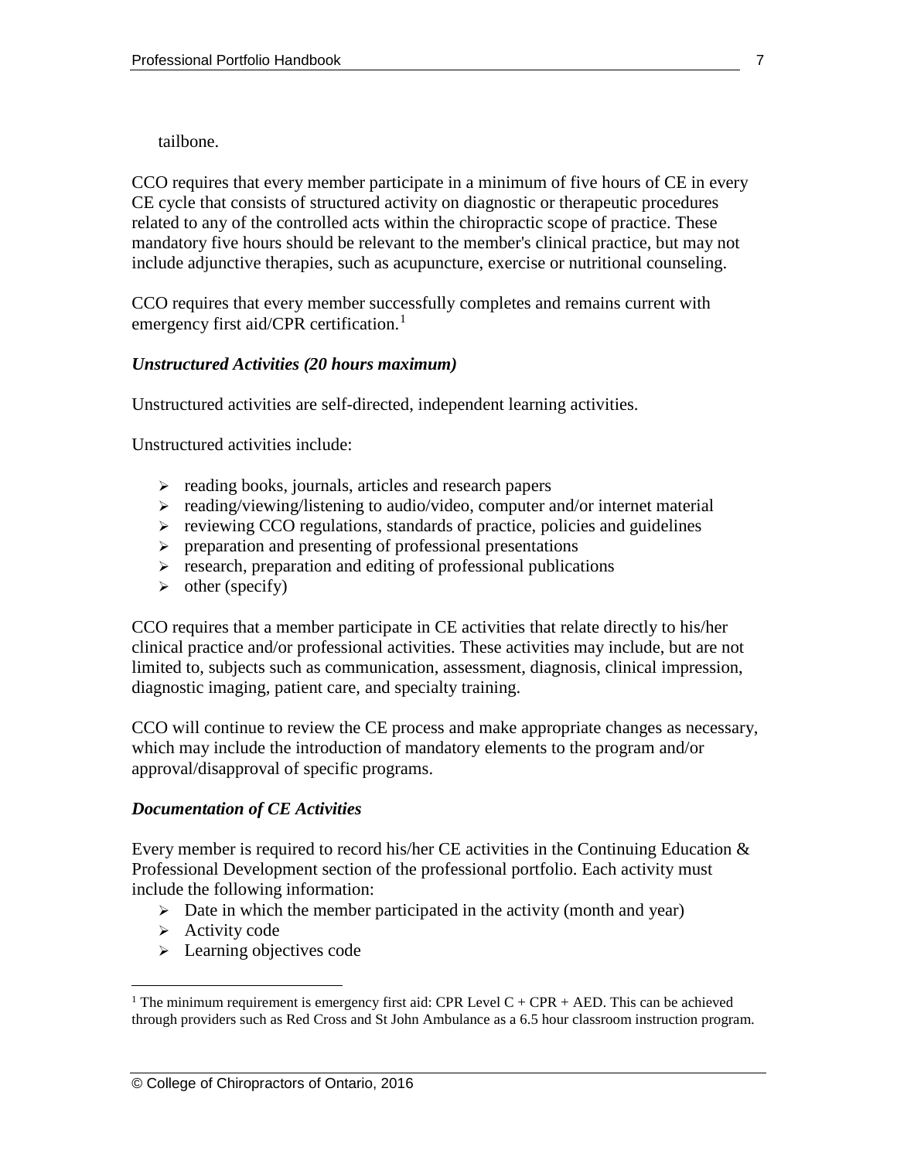tailbone.

CCO requires that every member participate in a minimum of five hours of CE in every CE cycle that consists of structured activity on diagnostic or therapeutic procedures related to any of the controlled acts within the chiropractic scope of practice. These mandatory five hours should be relevant to the member's clinical practice, but may not include adjunctive therapies, such as acupuncture, exercise or nutritional counseling.

CCO requires that every member successfully completes and remains current with emergency first aid/CPR certification.<sup>[1](#page-6-0)</sup>

#### *Unstructured Activities (20 hours maximum)*

Unstructured activities are self-directed, independent learning activities.

Unstructured activities include:

- $\triangleright$  reading books, journals, articles and research papers
- $\triangleright$  reading/viewing/listening to audio/video, computer and/or internet material
- $\triangleright$  reviewing CCO regulations, standards of practice, policies and guidelines
- $\triangleright$  preparation and presenting of professional presentations
- $\triangleright$  research, preparation and editing of professional publications
- $\triangleright$  other (specify)

CCO requires that a member participate in CE activities that relate directly to his/her clinical practice and/or professional activities. These activities may include, but are not limited to, subjects such as communication, assessment, diagnosis, clinical impression, diagnostic imaging, patient care, and specialty training.

CCO will continue to review the CE process and make appropriate changes as necessary, which may include the introduction of mandatory elements to the program and/or approval/disapproval of specific programs.

#### *Documentation of CE Activities*

Every member is required to record his/her CE activities in the Continuing Education  $\&$ Professional Development section of the professional portfolio. Each activity must include the following information:

- $\triangleright$  Date in which the member participated in the activity (month and year)
- $\triangleright$  Activity code
- $\triangleright$  Learning objectives code

<span id="page-6-0"></span><sup>&</sup>lt;sup>1</sup> The minimum requirement is emergency first aid: CPR Level  $C + CPR + AED$ . This can be achieved through providers such as Red Cross and St John Ambulance as a 6.5 hour classroom instruction program.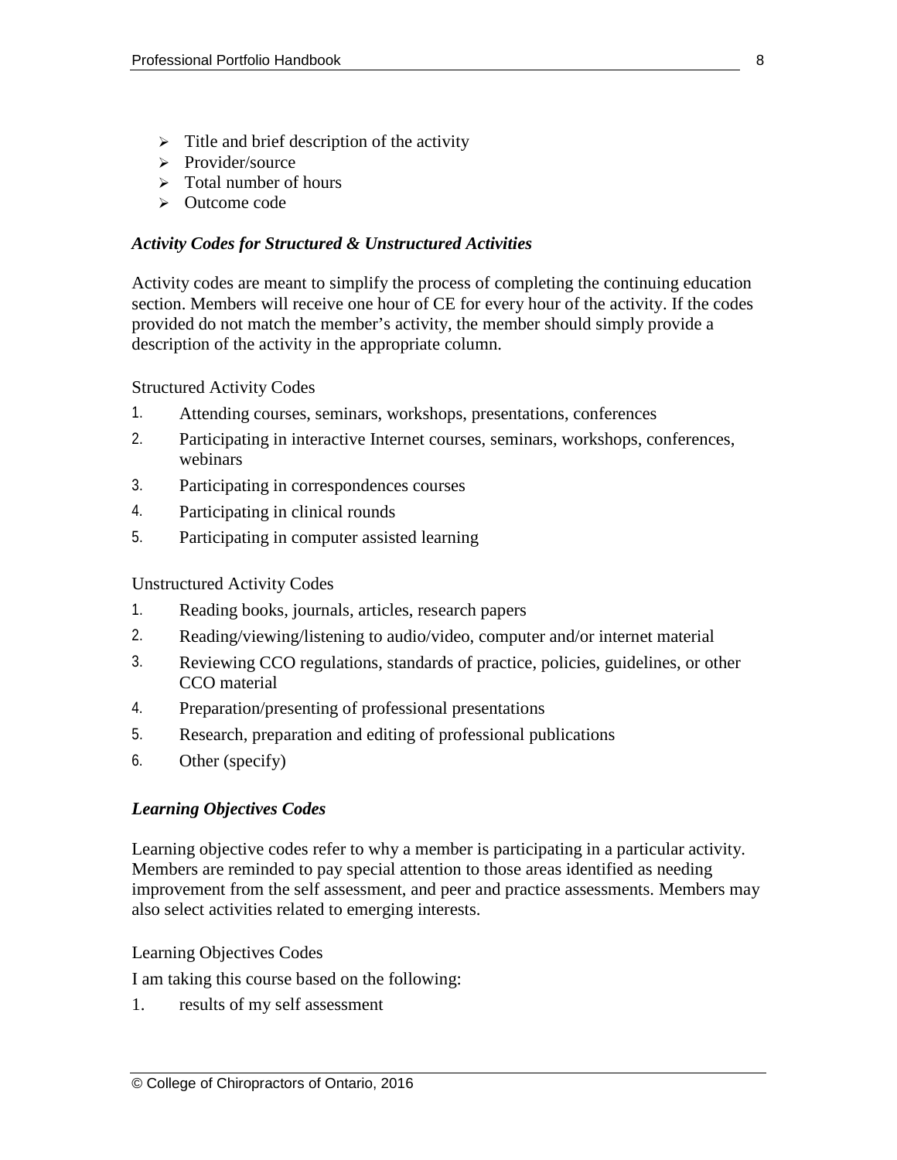- $\triangleright$  Title and brief description of the activity
- $\triangleright$  Provider/source
- $\triangleright$  Total number of hours
- Outcome code

#### *Activity Codes for Structured & Unstructured Activities*

Activity codes are meant to simplify the process of completing the continuing education section. Members will receive one hour of CE for every hour of the activity. If the codes provided do not match the member's activity, the member should simply provide a description of the activity in the appropriate column.

Structured Activity Codes

- 1. Attending courses, seminars, workshops, presentations, conferences
- 2. Participating in interactive Internet courses, seminars, workshops, conferences, webinars
- 3. Participating in correspondences courses
- 4. Participating in clinical rounds
- 5. Participating in computer assisted learning

Unstructured Activity Codes

- 1. Reading books, journals, articles, research papers
- 2. Reading/viewing/listening to audio/video, computer and/or internet material
- 3. Reviewing CCO regulations, standards of practice, policies, guidelines, or other CCO material
- 4. Preparation/presenting of professional presentations
- 5. Research, preparation and editing of professional publications
- 6. Other (specify)

# *Learning Objectives Codes*

Learning objective codes refer to why a member is participating in a particular activity. Members are reminded to pay special attention to those areas identified as needing improvement from the self assessment, and peer and practice assessments. Members may also select activities related to emerging interests.

Learning Objectives Codes

I am taking this course based on the following:

1. results of my self assessment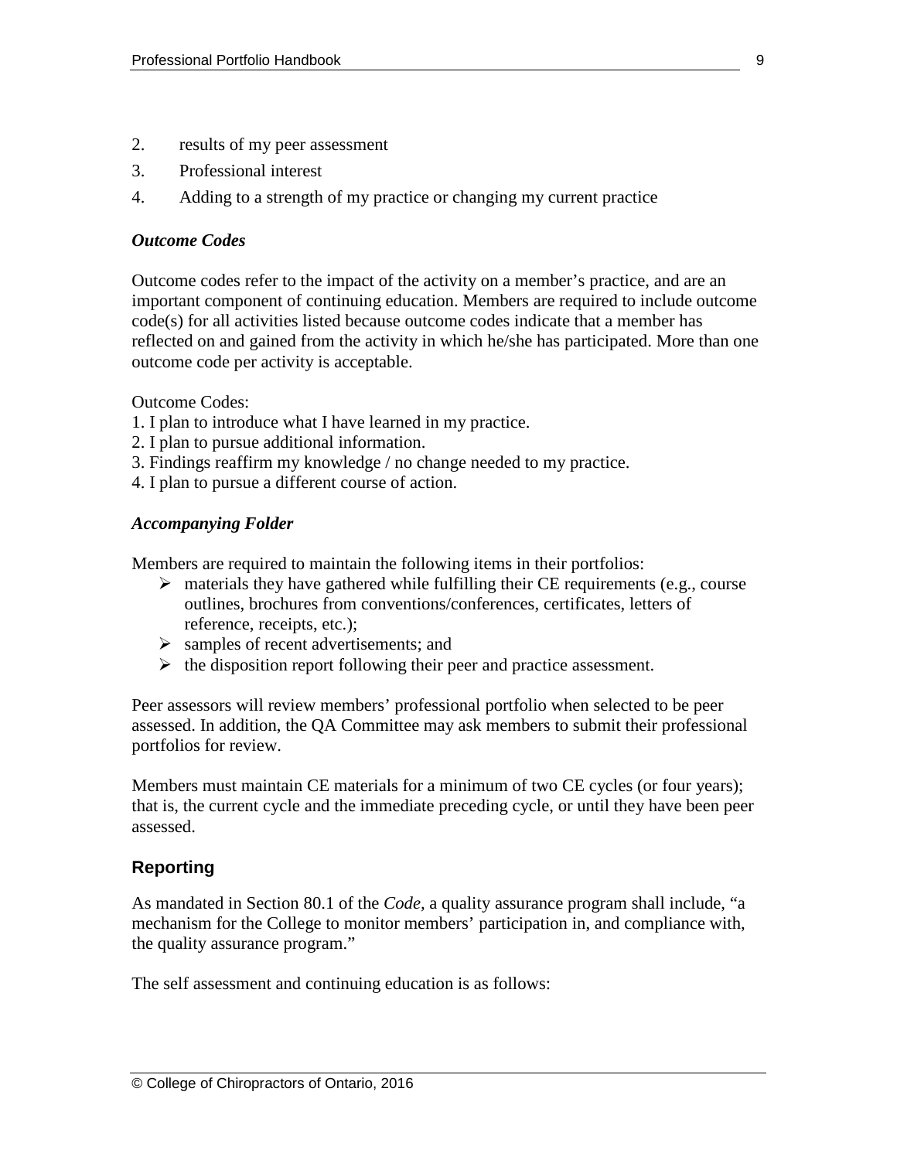- 2. results of my peer assessment
- 3. Professional interest
- 4. Adding to a strength of my practice or changing my current practice

#### *Outcome Codes*

Outcome codes refer to the impact of the activity on a member's practice, and are an important component of continuing education. Members are required to include outcome code(s) for all activities listed because outcome codes indicate that a member has reflected on and gained from the activity in which he/she has participated. More than one outcome code per activity is acceptable.

Outcome Codes:

- 1. I plan to introduce what I have learned in my practice.
- 2. I plan to pursue additional information.
- 3. Findings reaffirm my knowledge / no change needed to my practice.
- 4. I plan to pursue a different course of action.

#### *Accompanying Folder*

Members are required to maintain the following items in their portfolios:

- $\triangleright$  materials they have gathered while fulfilling their CE requirements (e.g., course outlines, brochures from conventions/conferences, certificates, letters of reference, receipts, etc.);
- $\triangleright$  samples of recent advertisements; and
- $\triangleright$  the disposition report following their peer and practice assessment.

Peer assessors will review members' professional portfolio when selected to be peer assessed. In addition, the QA Committee may ask members to submit their professional portfolios for review.

Members must maintain CE materials for a minimum of two CE cycles (or four years); that is, the current cycle and the immediate preceding cycle, or until they have been peer assessed.

# **Reporting**

As mandated in Section 80.1 of the *Code,* a quality assurance program shall include, "a mechanism for the College to monitor members' participation in, and compliance with, the quality assurance program."

The self assessment and continuing education is as follows: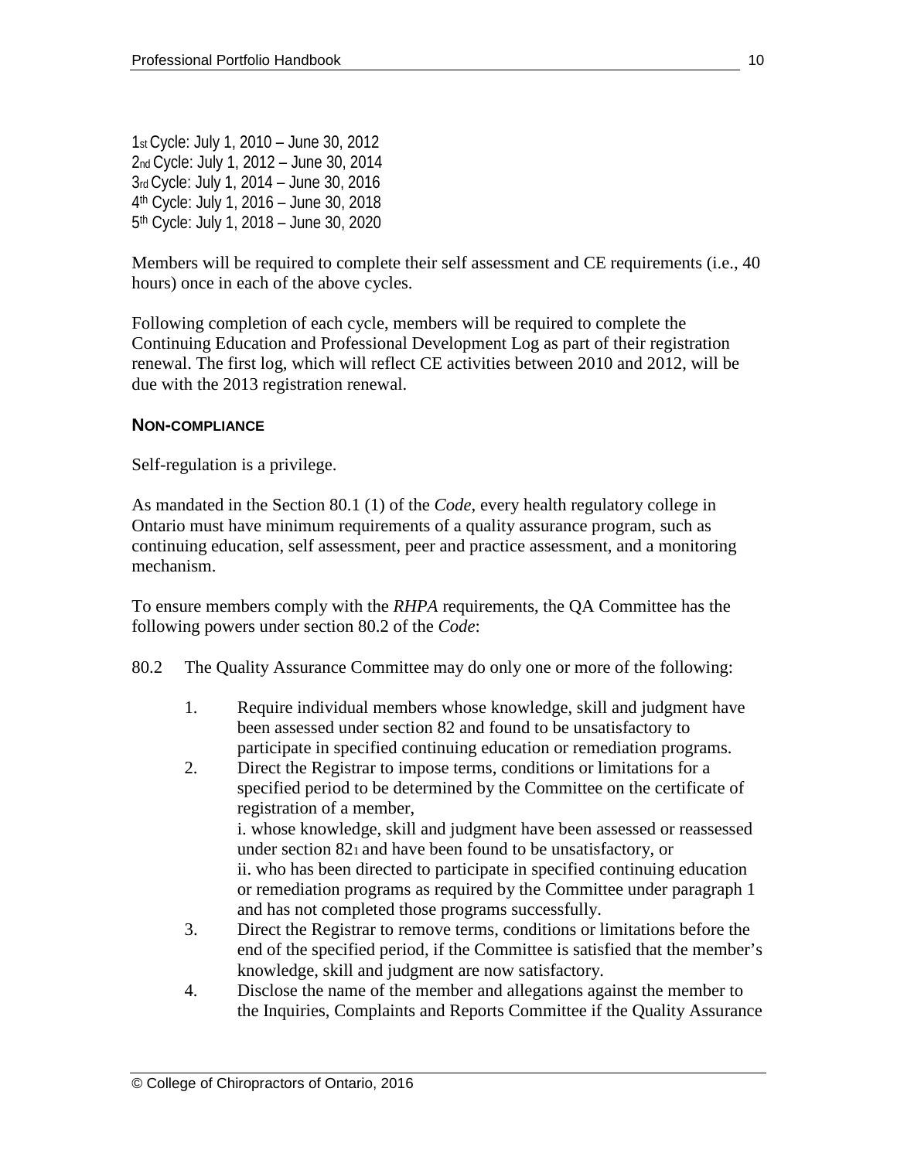1st Cycle: July 1, 2010 – June 30, 2012 2nd Cycle: July 1, 2012 – June 30, 2014 3rd Cycle: July 1, 2014 – June 30, 2016 4th Cycle: July 1, 2016 – June 30, 2018 5th Cycle: July 1, 2018 – June 30, 2020

Members will be required to complete their self assessment and CE requirements (i.e., 40 hours) once in each of the above cycles.

Following completion of each cycle, members will be required to complete the Continuing Education and Professional Development Log as part of their registration renewal. The first log, which will reflect CE activities between 2010 and 2012, will be due with the 2013 registration renewal.

#### **NON-COMPLIANCE**

Self-regulation is a privilege.

As mandated in the Section 80.1 (1) of the *Code*, every health regulatory college in Ontario must have minimum requirements of a quality assurance program, such as continuing education, self assessment, peer and practice assessment, and a monitoring mechanism.

To ensure members comply with the *RHPA* requirements, the QA Committee has the following powers under section 80.2 of the *Code*:

- 80.2 The Quality Assurance Committee may do only one or more of the following:
	- 1. Require individual members whose knowledge, skill and judgment have been assessed under section 82 and found to be unsatisfactory to participate in specified continuing education or remediation programs.
	- 2. Direct the Registrar to impose terms, conditions or limitations for a specified period to be determined by the Committee on the certificate of registration of a member, i. whose knowledge, skill and judgment have been assessed or reassessed

under section 821 and have been found to be unsatisfactory, or ii. who has been directed to participate in specified continuing education or remediation programs as required by the Committee under paragraph 1 and has not completed those programs successfully.

- 3. Direct the Registrar to remove terms, conditions or limitations before the end of the specified period, if the Committee is satisfied that the member's knowledge, skill and judgment are now satisfactory.
- 4. Disclose the name of the member and allegations against the member to the Inquiries, Complaints and Reports Committee if the Quality Assurance